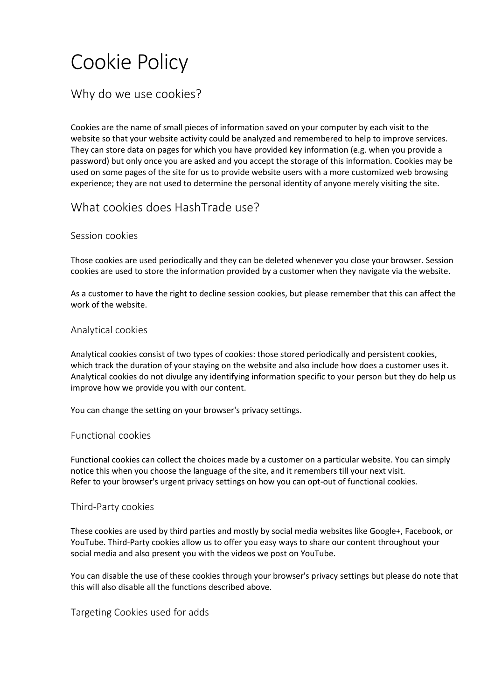# Cookie Policy

# Why do we use cookies?

Cookies are the name of small pieces of information saved on your computer by each visit to the website so that your website activity could be analyzed and remembered to help to improve services. They can store data on pages for which you have provided key information (e.g. when you provide a password) but only once you are asked and you accept the storage of this information. Cookies may be used on some pages of the site for us to provide website users with a more customized web browsing experience; they are not used to determine the personal identity of anyone merely visiting the site.

# What cookies does HashTrade use?

## Session cookies

Those cookies are used periodically and they can be deleted whenever you close your browser. Session cookies are used to store the information provided by a customer when they navigate via the website.

As a customer to have the right to decline session cookies, but please remember that this can affect the work of the website.

## Analytical cookies

Analytical cookies consist of two types of cookies: those stored periodically and persistent cookies, which track the duration of your staying on the website and also include how does a customer uses it. Analytical cookies do not divulge any identifying information specific to your person but they do help us improve how we provide you with our content.

You can change the setting on your browser's privacy settings.

### Functional cookies

Functional cookies can collect the choices made by a customer on a particular website. You can simply notice this when you choose the language of the site, and it remembers till your next visit. Refer to your browser's urgent privacy settings on how you can opt-out of functional cookies.

#### Third-Party cookies

These cookies are used by third parties and mostly by social media websites like Google+, Facebook, or YouTube. Third-Party cookies allow us to offer you easy ways to share our content throughout your social media and also present you with the videos we post on YouTube.

You can disable the use of these cookies through your browser's privacy settings but please do note that this will also disable all the functions described above.

#### Targeting Cookies used for adds